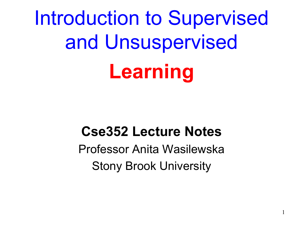Introduction to Supervised and Unsuspervised **Learning**

### **Cse352 Lecture Notes**

Professor Anita Wasilewska Stony Brook University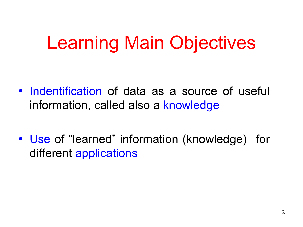## Learning Main Objectives

- Indentification of data as a source of useful information, called also a knowledge
- Use of "learned" information (knowledge) for different applications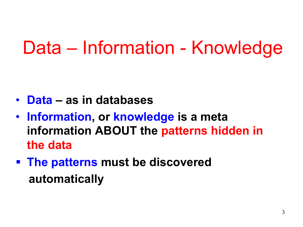### Data – Information - Knowledge

- **Data as in databases**
- **Information, or knowledge is a meta information ABOUT the patterns hidden in the data**
- § **The patterns must be discovered automatically**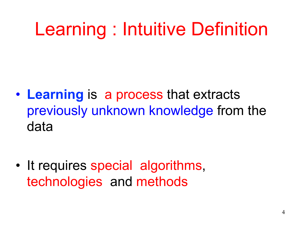## Learning : Intuitive Definition

• **Learning** is a process that extracts previously unknown knowledge from the data

• It requires special algorithms, technologies and methods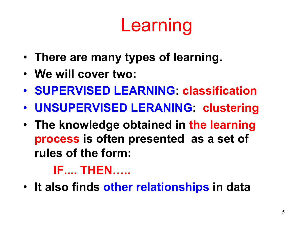# Learning

- **There are many types of learning.**
- **We will cover two:**
- **SUPERVISED LEARNING: classification**
- **UNSUPERVISED LERANING: clustering**
- **The knowledge obtained in the learning process is often presented as a set of rules of the form:**

### **IF.... THEN…..**

• **It also finds other relationships in data**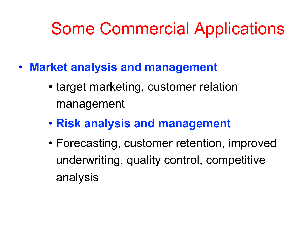### Some Commercial Applications

- **Market analysis and management** 
	- target marketing, customer relation management
	- **Risk analysis and management**
	- Forecasting, customer retention, improved underwriting, quality control, competitive analysis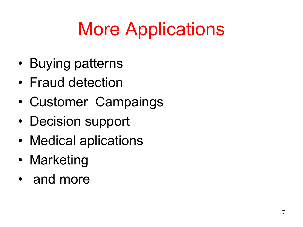# More Applications

- Buying patterns
- Fraud detection
- Customer Campaings
- Decision support
- Medical aplications
- Marketing
- and more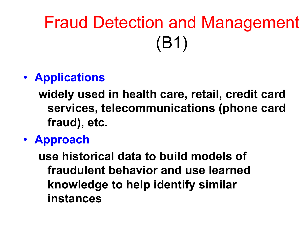# Fraud Detection and Management (B1)

#### • **Applications**

**widely used in health care, retail, credit card services, telecommunications (phone card fraud), etc.** 

• **Approach** 

**use historical data to build models of fraudulent behavior and use learned knowledge to help identify similar instances**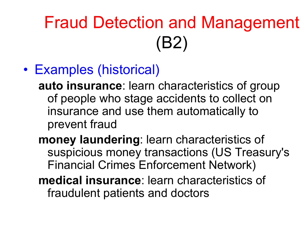## Fraud Detection and Management (B2)

• Examples (historical)

**auto insurance**: learn characteristics of group of people who stage accidents to collect on insurance and use them automatically to prevent fraud

- **money laundering**: learn characteristics of suspicious money transactions (US Treasury's Financial Crimes Enforcement Network)
- **medical insurance**: learn characteristics of fraudulent patients and doctors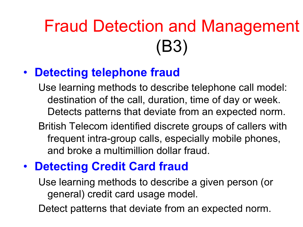## Fraud Detection and Management (B3)

#### • **Detecting telephone fraud**

Use learning methods to describe telephone call model: destination of the call, duration, time of day or week. Detects patterns that deviate from an expected norm.

British Telecom identified discrete groups of callers with frequent intra-group calls, especially mobile phones, and broke a multimillion dollar fraud.

### • **Detecting Credit Card fraud**

Use learning methods to describe a given person (or general) credit card usage model.

Detect patterns that deviate from an expected norm.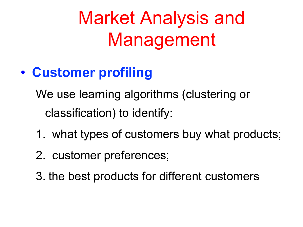# Market Analysis and Management

### • **Customer profiling**

We use learning algorithms (clustering or classification) to identify:

- 1. what types of customers buy what products;
- 2. customer preferences;
- 3. the best products for different customers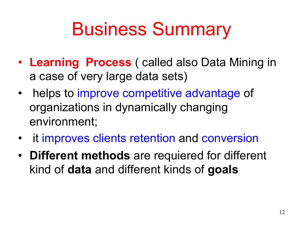## Business Summary

- **Learning Process** ( called also Data Mining in a case of very large data sets)
- helps to improve competitive advantage of organizations in dynamically changing environment;
- it improves clients retention and conversion
- **Different methods** are requiered for different kind of **data** and different kinds of **goals**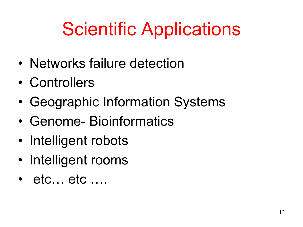# Scientific Applications

- Networks failure detection
- Controllers
- Geographic Information Systems
- Genome- Bioinformatics
- Intelligent robots
- Intelligent rooms
- etc... etc ....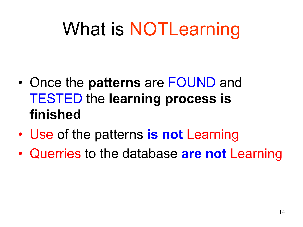# What is NOTLearning

- Once the **patterns** are FOUND and TESTED the **learning process is finished**
- Use of the patterns **is not** Learning
- Querries to the database **are not** Learning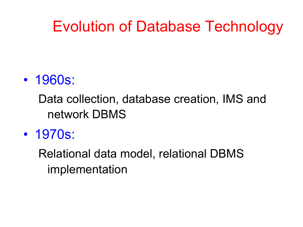### Evolution of Database Technology

### • 1960s:

Data collection, database creation, IMS and network DBMS

• 1970s:

Relational data model, relational DBMS implementation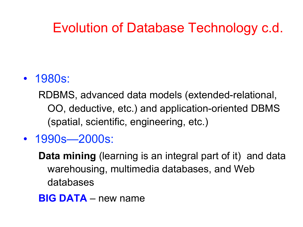### Evolution of Database Technology c.d.

#### • 1980s:

RDBMS, advanced data models (extended-relational, OO, deductive, etc.) and application-oriented DBMS (spatial, scientific, engineering, etc.)

- 1990s—2000s:
	- **Data mining** (learning is an integral part of it) and data warehousing, multimedia databases, and Web databases
	- **BIG DATA**  new name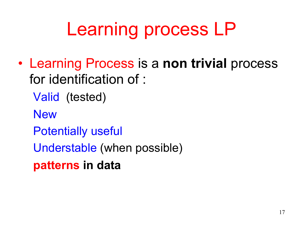# Learning process LP

- Learning Process is a **non trivial** process for identification of :
	- Valid (tested)
	- **New**
	- Potentially useful
	- Understable (when possible)
	- **patterns in data**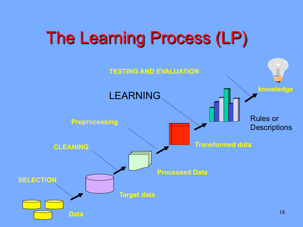### The Learning Process (LP)

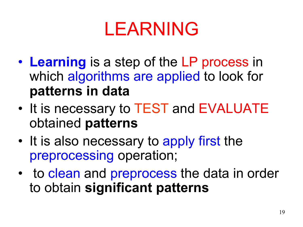## LEARNING

- **Learning** is a step of the LP process in which algorithms are applied to look for **patterns in data**
- It is necessary to TEST and EVALUATE obtained **patterns**
- It is also necessary to apply first the preprocessing operation;
- to clean and preprocess the data in order to obtain **significant patterns**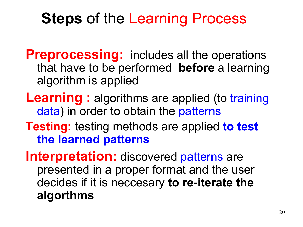### **Steps** of the Learning Process

- **Preprocessing:** includes all the operations that have to be performed **before** a learning algorithm is applied
- **Learning:** algorithms are applied (to training data) in order to obtain the patterns
- **Testing:** testing methods are applied **to test the learned patterns**

**Interpretation:** discovered patterns are presented in a proper format and the user decides if it is neccesary **to re-iterate the algorthms**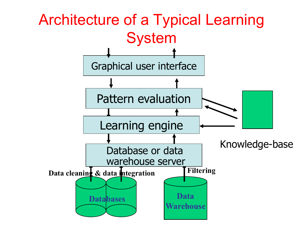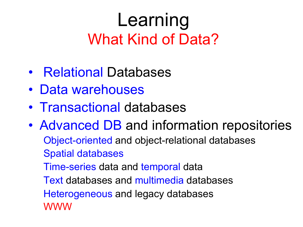### Learning What Kind of Data?

- Relational Databases
- Data warehouses
- Transactional databases
- Advanced DB and information repositories Object-oriented and object-relational databases Spatial databases Time-series data and temporal data Text databases and multimedia databases Heterogeneous and legacy databases WWW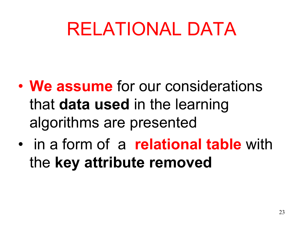## RELATIONAL DATA

- **We assume** for our considerations that **data used** in the learning algorithms are presented
- in a form of a **relational table** with the **key attribute removed**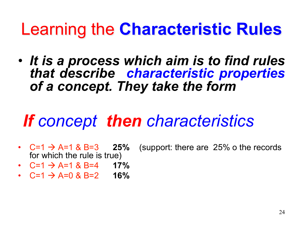### Learning the **Characteristic Rules**

• *It is a process which aim is to find rules that describe characteristic properties of a concept. They take the form*

### *If concept then characteristics*

- for which the rule is true)
- $C=1 \rightarrow A=1$  & B=3 25% (support: there are 25% o the records
- $C=1$   $\rightarrow$  A=1 & B=4 **17%**
- C=1 à A=0 & B=2 **16%**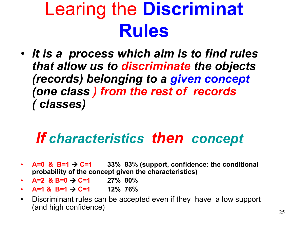## Learing the **Discriminat Rules**

• *It is a process which aim is to find rules that allow us to discriminate the objects (records) belonging to a given concept (one class ) from the rest of records ( classes)* 

### *If characteristics then concept*

- $\blacktriangle$  **A=0 & B=1**  $\rightarrow$  **C=1** 33% 83% (support, confidence: the conditional **probability of the concept given the characteristics)**
- $A=2$  &  $B=0$   $\rightarrow$  C=1 27% 80%
- **A=1 & B=1** à **C=1 12% 76%**
- Discriminant rules can be accepted even if they have a low support (and high confidence)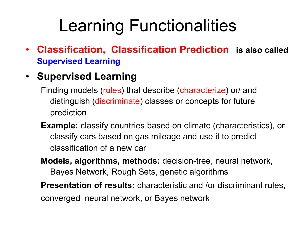### Learning Functionalities

• **Classification, Classification Prediction is also called Supervised Learning** 

#### • **Supervised Learning**

- Finding models (rules) that describe (characterize) or/ and distinguish (discriminate) classes or concepts for future prediction
- **Example:** classify countries based on climate (characteristics), or classify cars based on gas mileage and use it to predict classification of a new car
- **Models, algorithms, methods:** decision-tree, neural network, Bayes Network, Rough Sets, genetic algorithms

**Presentation of results:** characteristic and /or discriminant rules, converged neural network, or Bayes network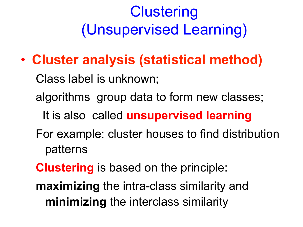### **Clustering** (Unsupervised Learning)

• **Cluster analysis (statistical method)**

Class label is unknown; algorithms group data to form new classes; It is also called **unsupervised learning**  For example: cluster houses to find distribution patterns

**Clustering** is based on the principle:

**maximizing** the intra-class similarity and **minimizing** the interclass similarity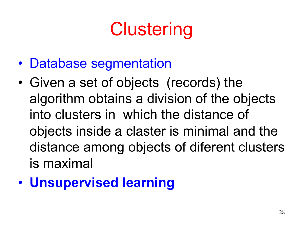# **Clustering**

- Database segmentation
- Given a set of objects (records) the algorithm obtains a division of the objects into clusters in which the distance of objects inside a claster is minimal and the distance among objects of diferent clusters is maximal
- **Unsupervised learning**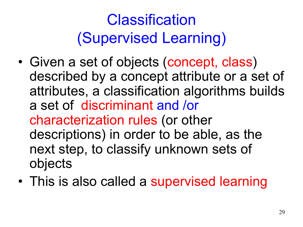### **Classification** (Supervised Learning)

- Given a set of objects (concept, class) described by a concept attribute or a set of attributes, a classification algorithms builds a set of discriminant and /or characterization rules (or other descriptions) in order to be able, as the next step, to classify unknown sets of objects
- This is also called a supervised learning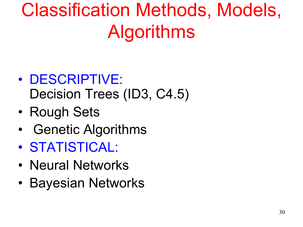# Classification Methods, Models, Algorithms

- DESCRIPTIVE: Decision Trees (ID3, C4.5)
- Rough Sets
- Genetic Algorithms
- STATISTICAL:
- Neural Networks
- Bayesian Networks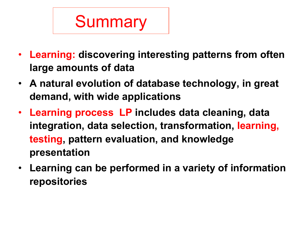# Summary

- **Learning: discovering interesting patterns from often large amounts of data**
- **A natural evolution of database technology, in great demand, with wide applications**
- **Learning process LP includes data cleaning, data integration, data selection, transformation, learning, testing, pattern evaluation, and knowledge presentation**
- **Learning can be performed in a variety of information repositories**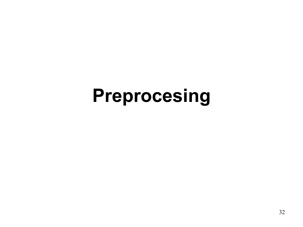## **Preprocesing**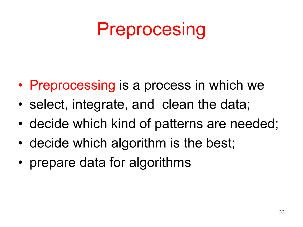## Preprocesing

- Preprocessing is a process in which we
- select, integrate, and clean the data;
- decide which kind of patterns are needed;
- decide which algorithm is the best;
- prepare data for algorithms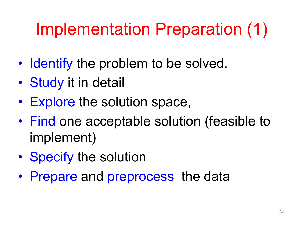### Implementation Preparation (1)

- Identify the problem to be solved.
- Study it in detail
- Explore the solution space,
- Find one acceptable solution (feasible to implement)
- Specify the solution
- Prepare and preprocess the data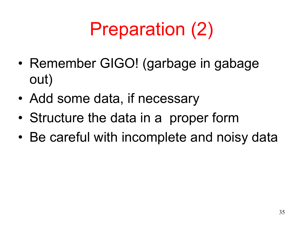# Preparation (2)

- Remember GIGO! (garbage in gabage out)
- Add some data, if necessary
- Structure the data in a proper form
- Be careful with incomplete and noisy data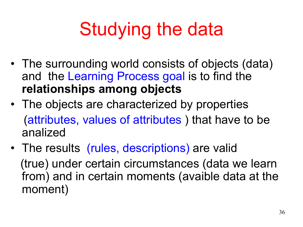# Studying the data

- The surrounding world consists of objects (data) and the Learning Process goal is to find the **relationships among objects**
- The objects are characterized by properties (attributes, values of attributes ) that have to be analized
- The results (rules, descriptions) are valid (true) under certain circumstances (data we learn from) and in certain moments (avaible data at the moment)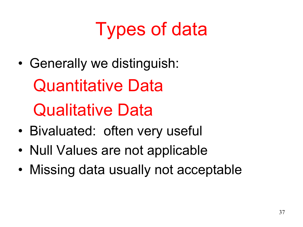# Types of data

• Generally we distinguish:

Quantitative Data

Qualitative Data

- Bivaluated: often very useful
- Null Values are not applicable
- Missing data usually not acceptable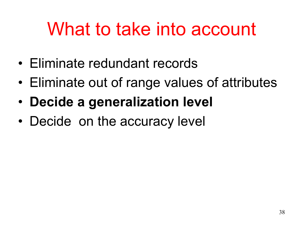## What to take into account

- Eliminate redundant records
- Eliminate out of range values of attributes
- **Decide a generalization level**
- Decide on the accuracy level